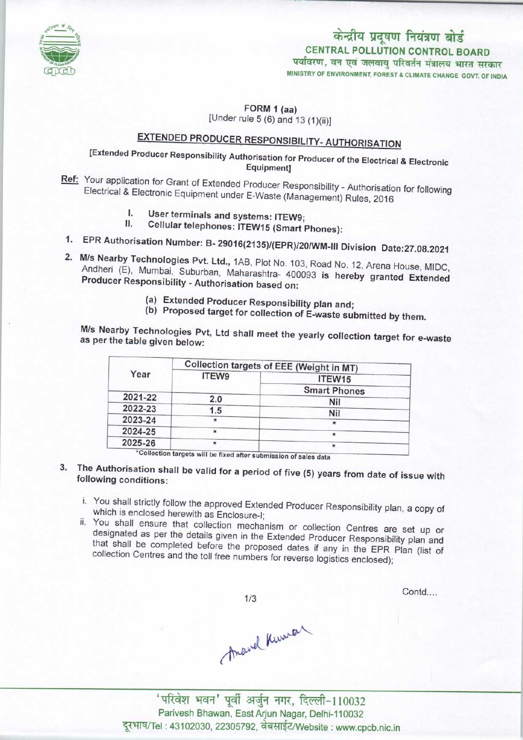

# केन्द्रीय प्रदूषण नियंत्रण बोर्ड CENTRAL POLLUTION CONTROL BOARD<br>पर्यावरण, वन एवं जलवायु परिवर्तन मंत्रालय भारत सरकार

MINISTRY OF ENVIRONMENT. FOREST & CLIMATE CHANGE GOVT. OF INDIA

FORM 1 (aa)

(Under rule 5 (6) and 13 (1)(ii)]

## EXTENDED PRODUCER RESPONSIBILITY-AUTHORISATION

## [Extended Producer Responsibility Authorisation for Producer of the Electrical & Electronic Equipment]

- Ref: Your application for Grant of Extended Producer Responsibility Authorisation for following Electrical & Electronic Equipment under E-Waste (Management) Rules, 2016
	- User terminals and systems: ITEW9; L.
	- Cellular telephones: ITEW15 (Smart Phones):
- 1. Cellular telephones: ITEW15 (Smart Phones):<br>1. EPR Authorisation Number: B- 29016(2135)/(EPR)/20/WM-III Division Date:27.08.2021
- 2.M/s Nearby Technologies Pvt. Ltd., 1AB, Plot No. 103, Road No. 12, Arena House, MIDC, Andheri (E), Mumbai, Suburban, Maharashtra- 400093 is hereby granted Extended Producer Responsibility - Authorisation based on:
	- (a) Extended Producer Responsibility plan and;
	- (b) Proposed target for collection of E-waste submitted by them.

M/s Nearby Technologies Pvt, Ltd shall meet the yearly collection target for e-waste as per the table given below:

| Year    | Collection targets of EEE (Weight in MT) |                     |
|---------|------------------------------------------|---------------------|
|         | ITEW9                                    | ITEW15              |
|         |                                          | <b>Smart Phones</b> |
| 2021-22 | 2.0                                      | Nil                 |
| 2022-23 | 1.5                                      | <b>Nil</b>          |
| 2023-24 | $\star$                                  |                     |
| 2024-25 | $\star$                                  |                     |
| 2025-26 | ×                                        |                     |

- 3. The Authorisation shall be valid for a period of five (5) years from data of issue with following conditions:
	- i. You shall strictly follow the approved Extended Producer Responsibility plan, a copy of which is enclosed herewith as Enclosure-I;
	- ii. You shall ensure that collection mechanism or collection Centres are set up or designated as per the details given in the Extended Producer Responsibility plan and that shall be completed before the proposed dates if any in the EPR Plan (list of collection Centres and the toll free numbers for reverse logistics enclosed);

 $1/3$ 

Contd....

Ananel Kinner

'परिवेश भवन' पूर्वी अर्जुन नगर, दिल्ली-110032<br>Parivesh Bhawan, East Arjun Nagar, Delhi-110032 दूरभाष/Tel : 43102030, 22305792, वेबसाईट/Website : www.cpcb.nic.in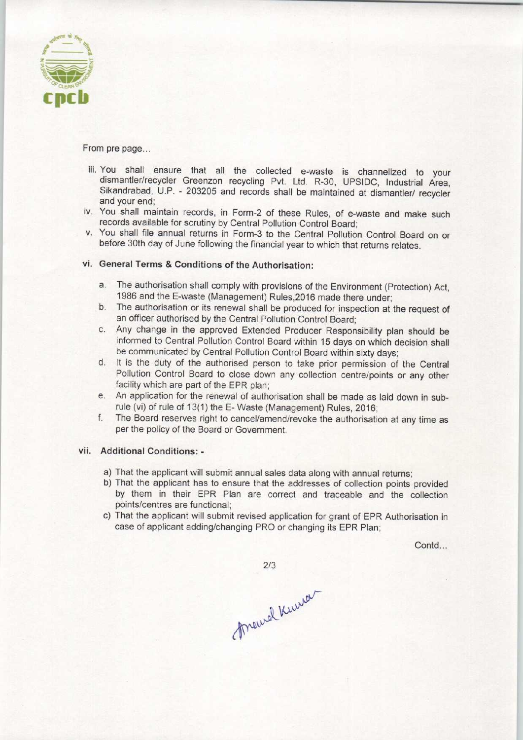

From pre page...

- iii. You shall ensure that all the collected e-waste is channelized to your dismantler/recycler Greenzon recycling Pvt. Ltd. R-30, UPSIDC, Industrial Area, Sikandrabad, U.P. - 203205 and records shall be maintained at dismantler/ recycler and your end;
- iv. You shall maintain records, in Form-2 of these Rules, of e-waste and make such records available for scrutiny by Central Pollution Control Board;
- v. You shall file annual returns in Form-3 to the Central Pollution Control Board on or before 30th day of June following the financial year to which that returns relates.

### vi. General Terms & Conditions of the Authorisation:

- a. The authorisation shall comply with provisions of the Environment (Protection) Act, 1986 and the E-waste (Management) Rules,2016 made there under;
- b. The authorisation or its renewal shall be produced for inspection at the request of an officer authorised by the Central Pollution Control Board;
- c.Any change in the approved Extended Producer Responsibility plan should be informed to Central Pollution Control Board within 15 days on which decision shall be communicated by Central Pollution Control Board within sixty days;
- d. It is the duty of the authorised person to take prior permission of the Central Pollution Control Board to close down any collection centre/points or any other facility which are part of the EPR plan;
- e. An application for the renewal of authorisation shall be made as laid down in subrule (vi) of rule of 13(1) the E-Waste (Management) Rules, 2016;
- f. The Board reserves right to cancel/amend/revoke the authorisation at any time as per the policy of the Board or Government.

#### vii. Additional Conditions: -

- a)That the applicant will submit annual sales data along with annual returns;
- b) That the applicant has to ensure that the addresses of collection points provided by them in their EPR Plan are correct and traceable and the collection points/centres are functional;
- c) That the applicant will submit revised application for grant of EPR Authorisation in case of applicant adding/changing PRO or changing its EPR Plan;

Contd...

 $2/3$ 

Meurel Kenner